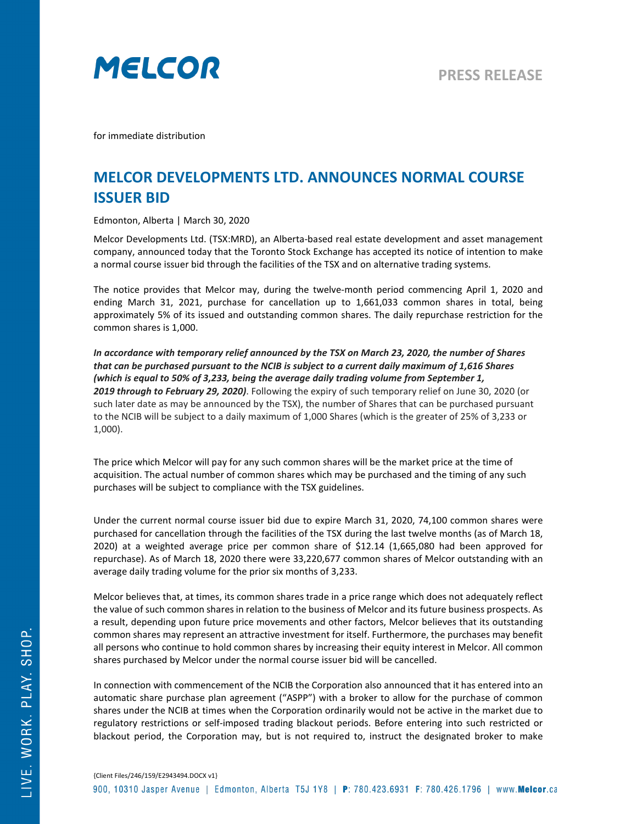

for immediate distribution

## **MELCOR DEVELOPMENTS LTD. ANNOUNCES NORMAL COURSE ISSUER BID**

Edmonton, Alberta | March 30, 2020

Melcor Developments Ltd. (TSX:MRD), an Alberta-based real estate development and asset management company, announced today that the Toronto Stock Exchange has accepted its notice of intention to make a normal course issuer bid through the facilities of the TSX and on alternative trading systems.

The notice provides that Melcor may, during the twelve-month period commencing April 1, 2020 and ending March 31, 2021, purchase for cancellation up to 1,661,033 common shares in total, being approximately 5% of its issued and outstanding common shares. The daily repurchase restriction for the common shares is 1,000.

*In accordance with temporary relief announced by the TSX on March 23, 2020, the number of Shares that can be purchased pursuant to the NCIB is subject to a current daily maximum of 1,616 Shares (which is equal to 50% of 3,233, being the average daily trading volume from September 1, 2019 through to February 29, 2020)*. Following the expiry of such temporary relief on June 30, 2020 (or such later date as may be announced by the TSX), the number of Shares that can be purchased pursuant to the NCIB will be subject to a daily maximum of 1,000 Shares (which is the greater of 25% of 3,233 or 1,000).

The price which Melcor will pay for any such common shares will be the market price at the time of acquisition. The actual number of common shares which may be purchased and the timing of any such purchases will be subject to compliance with the TSX guidelines.

Under the current normal course issuer bid due to expire March 31, 2020, 74,100 common shares were purchased for cancellation through the facilities of the TSX during the last twelve months (as of March 18, 2020) at a weighted average price per common share of \$12.14 (1,665,080 had been approved for repurchase). As of March 18, 2020 there were 33,220,677 common shares of Melcor outstanding with an average daily trading volume for the prior six months of 3,233.

Melcor believes that, at times, its common shares trade in a price range which does not adequately reflect the value of such common shares in relation to the business of Melcor and its future business prospects. As a result, depending upon future price movements and other factors, Melcor believes that its outstanding common shares may represent an attractive investment for itself. Furthermore, the purchases may benefit all persons who continue to hold common shares by increasing their equity interest in Melcor. All common shares purchased by Melcor under the normal course issuer bid will be cancelled.

In connection with commencement of the NCIB the Corporation also announced that it has entered into an automatic share purchase plan agreement ("ASPP") with a broker to allow for the purchase of common shares under the NCIB at times when the Corporation ordinarily would not be active in the market due to regulatory restrictions or self-imposed trading blackout periods. Before entering into such restricted or blackout period, the Corporation may, but is not required to, instruct the designated broker to make